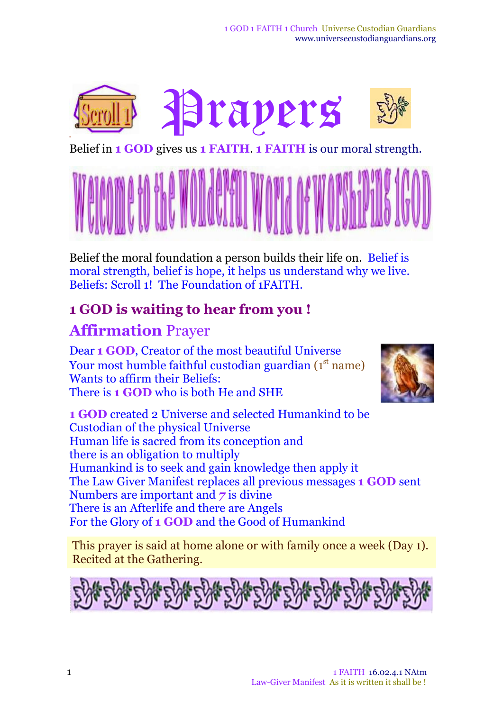

Belief in **1 GOD** gives us **1 FAITH**. **1 FAITH** is our moral strength.



Belief the moral foundation a person builds their life on. Belief is moral strength, belief is hope, it helps us understand why we live. Beliefs: Scroll 1! The Foundation of 1FAITH.

## **1 GOD is waiting to hear from you !**

# **Affirmation** Prayer

Dear **1 GOD**, Creator of the most beautiful Universe Your most humble faithful custodian guardian (1st name) Wants to affirm their Beliefs: There is **1 GOD** who is both He and SHE



**1 GOD** created 2 Universe and selected Humankind to be Custodian of the physical Universe Human life is sacred from its conception and there is an obligation to multiply Humankind is to seek and gain knowledge then apply it The Law Giver Manifest replaces all previous messages **1 GOD** sent Numbers are important and *7* is divine There is an Afterlife and there are Angels For the Glory of **1 GOD** and the Good of Humankind

This prayer is said at home alone or with family once a week (Day 1). Recited at the Gathering.

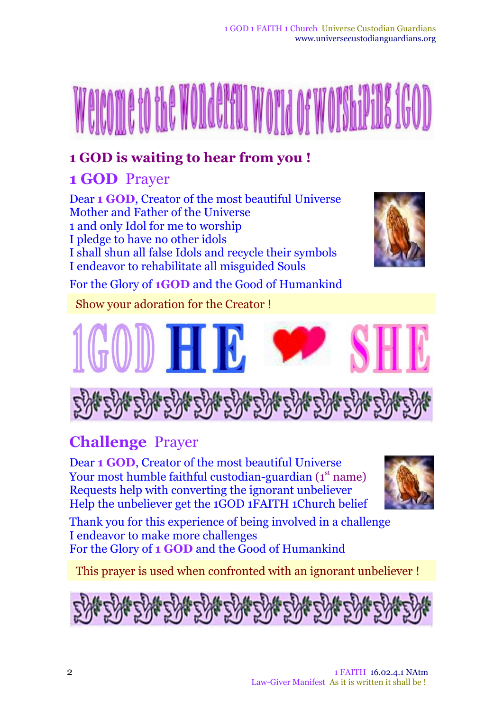# **1 GOD** Prayer

Dear **1 GOD**, Creator of the most beautiful Universe Mother and Father of the Universe 1 and only Idol for me to worship I pledge to have no other idols I shall shun all false Idols and recycle their symbols I endeavor to rehabilitate all misguided Souls



For the Glory of **1GOD** and the Good of Humankind

Show your adoration for the Creator !





# **Challenge** Prayer

Dear **1 GOD**, Creator of the most beautiful Universe Your most humble faithful custodian-guardian (1st name) Requests help with converting the ignorant unbeliever Help the unbeliever get the 1GOD 1FAITH 1Church belief



Thank you for this experience of being involved in a challenge I endeavor to make more challenges For the Glory of **1 GOD** and the Good of Humankind

This prayer is used when confronted with an ignorant unbeliever !

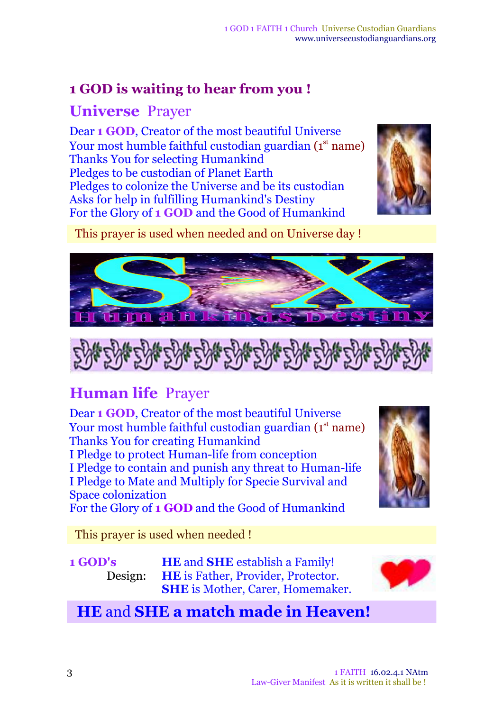# **Universe** Prayer

Dear **1 GOD**, Creator of the most beautiful Universe Your most humble faithful custodian guardian (1st name) Thanks You for selecting Humankind Pledges to be custodian of Planet Earth Pledges to colonize the Universe and be its custodian Asks for help in fulfilling Humankind's Destiny For the Glory of **1 GOD** and the Good of Humankind



This prayer is used when needed and on Universe day !





# **Human life** Prayer

Dear **1 GOD**, Creator of the most beautiful Universe Your most humble faithful custodian guardian (1st name) Thanks You for creating Humankind I Pledge to protect Human-life from conception I Pledge to contain and punish any threat to Human-life I Pledge to Mate and Multiply for Specie Survival and Space colonization For the Glory of **1 GOD** and the Good of Humankind

This prayer is used when needed !

**1 GOD's** Design:

**HE** and **SHE** establish a Family! **HE** is Father, Provider, Protector. **SHE** is Mother, Carer, Homemaker.



# **HE** and **SHE a match made in Heaven!**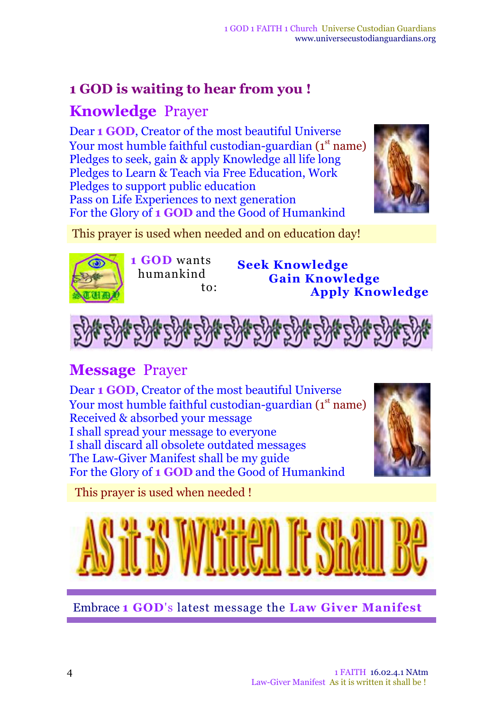# **Knowledge** Prayer

Dear **1 GOD**, Creator of the most beautiful Universe Your most humble faithful custodian-guardian (1st name) Pledges to seek, gain & apply Knowledge all life long Pledges to Learn & Teach via Free Education, Work Pledges to support public education Pass on Life Experiences to next generation For the Glory of **1 GOD** and the Good of Humankind



This prayer is used when needed and on education day!



**1 GOD** wants humankind to: **Seek Knowledge Gain Knowledge Apply Knowledge**



# **Message** Prayer

Dear **1 GOD**, Creator of the most beautiful Universe Your most humble faithful custodian-guardian (1st name) Received & absorbed your message I shall spread your message to everyone I shall discard all obsolete outdated messages The Law-Giver Manifest shall be my guide For the Glory of **1 GOD** and the Good of Humankind



This prayer is used when needed !



Embrace **1 GOD**'s latest message the **Law Giver Manifest**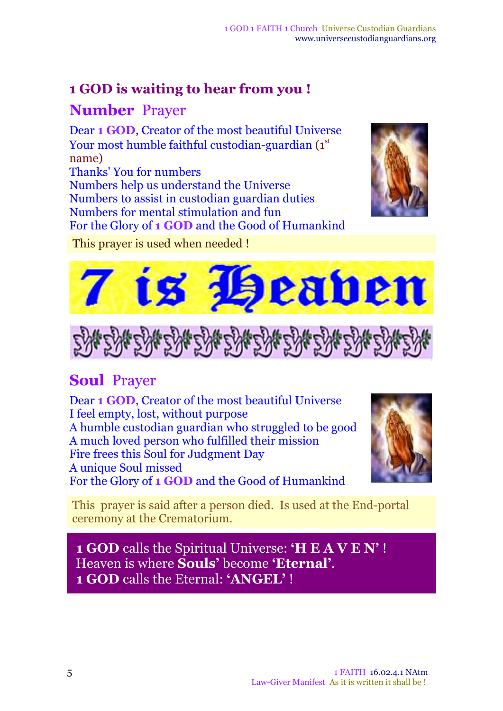#### **Number** Prayer

Dear **1 GOD**, Creator of the most beautiful Universe Your most humble faithful custodian-guardian ( $\boldsymbol{1}^{\rm st}$ name) Thanks' You for numbers Numbers help us understand the Universe Numbers to assist in custodian guardian duties Numbers for mental stimulation and fun For the Glory of **1 GOD** and the Good of Humankind



This prayer is used when needed !





# **Soul** Prayer

Dear **1 GOD**, Creator of the most beautiful Universe I feel empty, lost, without purpose A humble custodian guardian who struggled to be good A much loved person who fulfilled their mission Fire frees this Soul for Judgment Day A unique Soul missed For the Glory of **1 GOD** and the Good of Humankind



This prayer is said after a person died. Is used at the End-portal ceremony at the Crematorium.

**1 GOD** calls the Spiritual Universe: **'H E A V E N'** ! Heaven is where **Souls'** become **'Eternal'**. **1 GOD** calls the Eternal: **'ANGEL'** !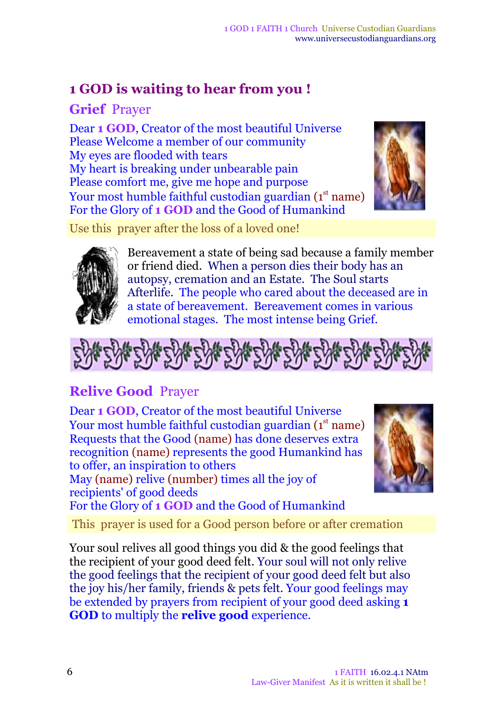**Grief** Prayer

Dear **1 GOD**, Creator of the most beautiful Universe Please Welcome a member of our community My eyes are flooded with tears My heart is breaking under unbearable pain Please comfort me, give me hope and purpose Your most humble faithful custodian guardian (1 $^{\rm st}$  name) For the Glory of **1 GOD** and the Good of Humankind



Use this prayer after the loss of a loved one!



Bereavement a state of being sad because a family member or friend died. When a person dies their body has an autopsy, cremation and an Estate. The Soul starts Afterlife. The people who cared about the deceased are in a state of bereavement. Bereavement comes in various emotional stages. The most intense being Grief.



# **Relive Good** Prayer

Dear **1 GOD**, Creator of the most beautiful Universe Your most humble faithful custodian guardian (1st name) Requests that the Good (name) has done deserves extra recognition (name) represents the good Humankind has to offer, an inspiration to others May (name) relive (number) times all the joy of recipients' of good deeds For the Glory of **1 GOD** and the Good of Humankind



This prayer is used for a Good person before or after cremation

Your soul relives all good things you did & the good feelings that the recipient of your good deed felt. Your soul will not only relive the good feelings that the recipient of your good deed felt but also the joy his/her family, friends & pets felt. Your good feelings may be extended by prayers from recipient of your good deed asking **1 GOD** to multiply the **relive good** experience.